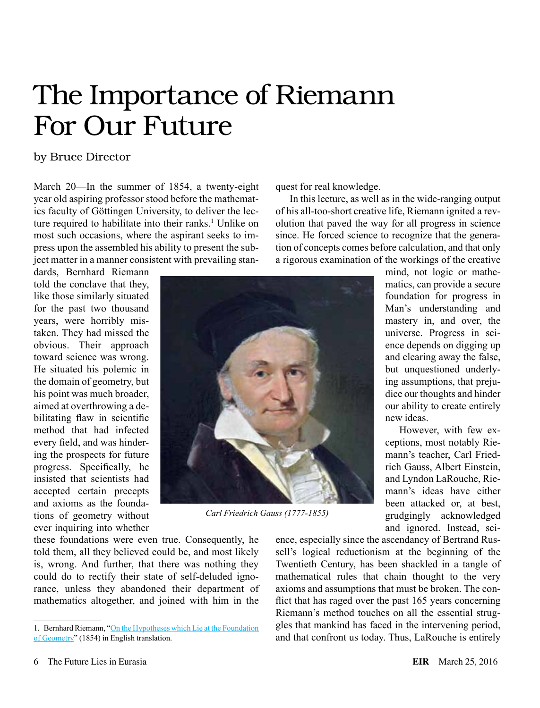# The Importance of Riemann For Our Future

### by Bruce Director

March 20—In the summer of 1854, a twenty-eight year old aspiring professor stood before the mathematics faculty of Göttingen University, to deliver the lecture required to habilitate into their ranks.<sup>1</sup> Unlike on most such occasions, where the aspirant seeks to impress upon the assembled his ability to present the subject matter in a manner consistent with prevailing stan-

dards, Bernhard Riemann told the conclave that they, like those similarly situated for the past two thousand years, were horribly mistaken. They had missed the obvious. Their approach toward science was wrong. He situated his polemic in the domain of geometry, but his point was much broader, aimed at overthrowing a debilitating flaw in scientific method that had infected every field, and was hindering the prospects for future progress. Specifically, he insisted that scientists had accepted certain precepts and axioms as the foundations of geometry without ever inquiring into whether quest for real knowledge.

In this lecture, as well as in the wide-ranging output of his all-too-short creative life, Riemann ignited a revolution that paved the way for all progress in science since. He forced science to recognize that the generation of concepts comes before calculation, and that only a rigorous examination of the workings of the creative



*Carl Friedrich Gauss (1777-1855)*

mind, not logic or mathematics, can provide a secure foundation for progress in Man's understanding and mastery in, and over, the universe. Progress in science depends on digging up and clearing away the false, but unquestioned underlying assumptions, that prejudice our thoughts and hinder our ability to create entirely new ideas.

However, with few exceptions, most notably Riemann's teacher, Carl Friedrich Gauss, Albert Einstein, and Lyndon LaRouche, Riemann's ideas have either been attacked or, at best, grudgingly acknowledged and ignored. Instead, sci-

these foundations were even true. Consequently, he told them, all they believed could be, and most likely is, wrong. And further, that there was nothing they could do to rectify their state of self-deluded ignorance, unless they abandoned their department of mathematics altogether, and joined with him in the

ence, especially since the ascendancy of Bertrand Russell's logical reductionism at the beginning of the Twentieth Century, has been shackled in a tangle of mathematical rules that chain thought to the very axioms and assumptions that must be broken. The conflict that has raged over the past 165 years concerning Riemann's method touches on all the essential struggles that mankind has faced in the intervening period, and that confront us today. Thus, LaRouche is entirely

<sup>1.</sup> Bernhard Riemann, "[On the Hypotheses which Lie at the Foundation](http://archive.larouchepac.com/node/12479) [of Geometry"](http://archive.larouchepac.com/node/12479) (1854) in English translation.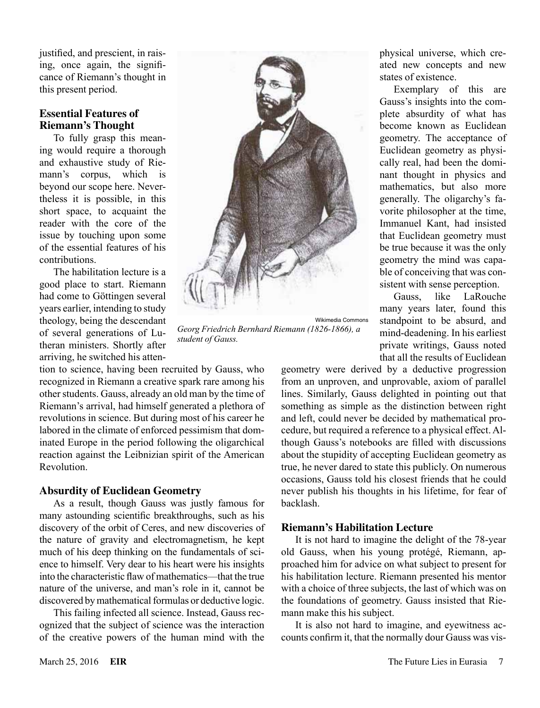justified, and prescient, in raising, once again, the significance of Riemann's thought in this present period.

#### **Essential Features of Riemann's Thought**

To fully grasp this meaning would require a thorough and exhaustive study of Riemann's corpus, which is beyond our scope here. Nevertheless it is possible, in this short space, to acquaint the reader with the core of the issue by touching upon some of the essential features of his contributions.

The habilitation lecture is a good place to start. Riemann had come to Göttingen several years earlier, intending to study theology, being the descendant of several generations of Lutheran ministers. Shortly after arriving, he switched his atten-

tion to science, having been recruited by Gauss, who recognized in Riemann a creative spark rare among his other students. Gauss, already an old man by the time of Riemann's arrival, had himself generated a plethora of revolutions in science. But during most of his career he labored in the climate of enforced pessimism that dominated Europe in the period following the oligarchical reaction against the Leibnizian spirit of the American Revolution.

#### **Absurdity of Euclidean Geometry**

As a result, though Gauss was justly famous for many astounding scientific breakthroughs, such as his discovery of the orbit of Ceres, and new discoveries of the nature of gravity and electromagnetism, he kept much of his deep thinking on the fundamentals of science to himself. Very dear to his heart were his insights into the characteristic flaw of mathematics—that the true nature of the universe, and man's role in it, cannot be discovered by mathematical formulas or deductive logic.

This failing infected all science. Instead, Gauss recognized that the subject of science was the interaction of the creative powers of the human mind with the



*Georg Friedrich Bernhard Riemann (1826-1866), a student of Gauss.*

physical universe, which created new concepts and new states of existence.

Exemplary of this are Gauss's insights into the complete absurdity of what has become known as Euclidean geometry. The acceptance of Euclidean geometry as physically real, had been the dominant thought in physics and mathematics, but also more generally. The oligarchy's favorite philosopher at the time, Immanuel Kant, had insisted that Euclidean geometry must be true because it was the only geometry the mind was capable of conceiving that was consistent with sense perception.

Gauss, like LaRouche many years later, found this standpoint to be absurd, and mind-deadening. In his earliest private writings, Gauss noted that all the results of Euclidean

geometry were derived by a deductive progression from an unproven, and unprovable, axiom of parallel lines. Similarly, Gauss delighted in pointing out that something as simple as the distinction between right and left, could never be decided by mathematical procedure, but required a reference to a physical effect. Although Gauss's notebooks are filled with discussions about the stupidity of accepting Euclidean geometry as true, he never dared to state this publicly. On numerous occasions, Gauss told his closest friends that he could never publish his thoughts in his lifetime, for fear of backlash.

#### **Riemann's Habilitation Lecture**

It is not hard to imagine the delight of the 78-year old Gauss, when his young protégé, Riemann, approached him for advice on what subject to present for his habilitation lecture. Riemann presented his mentor with a choice of three subjects, the last of which was on the foundations of geometry. Gauss insisted that Riemann make this his subject.

It is also not hard to imagine, and eyewitness accounts confirm it, that the normally dour Gauss was vis-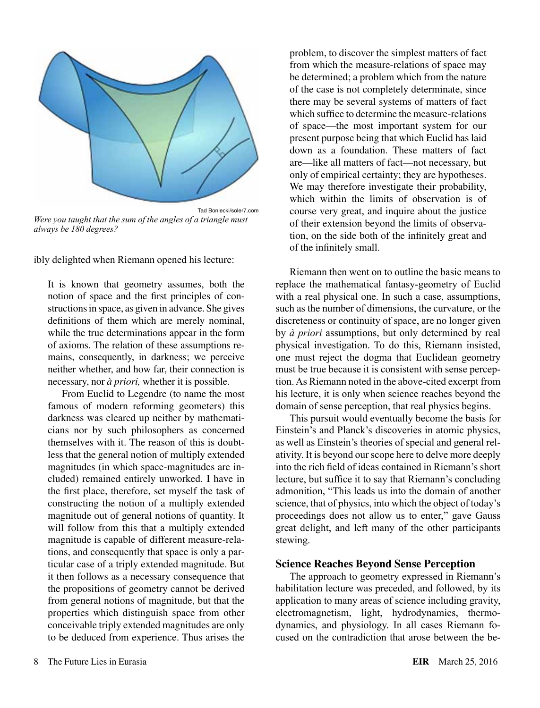

*Were you taught that the sum of the angles of a triangle must always be 180 degrees?*

ibly delighted when Riemann opened his lecture:

It is known that geometry assumes, both the notion of space and the first principles of constructions in space, as given in advance. She gives definitions of them which are merely nominal, while the true determinations appear in the form of axioms. The relation of these assumptions remains, consequently, in darkness; we perceive neither whether, and how far, their connection is necessary, nor *à priori,* whether it is possible.

From Euclid to Legendre (to name the most famous of modern reforming geometers) this darkness was cleared up neither by mathematicians nor by such philosophers as concerned themselves with it. The reason of this is doubtless that the general notion of multiply extended magnitudes (in which space-magnitudes are included) remained entirely unworked. I have in the first place, therefore, set myself the task of constructing the notion of a multiply extended magnitude out of general notions of quantity. It will follow from this that a multiply extended magnitude is capable of different measure-relations, and consequently that space is only a particular case of a triply extended magnitude. But it then follows as a necessary consequence that the propositions of geometry cannot be derived from general notions of magnitude, but that the properties which distinguish space from other conceivable triply extended magnitudes are only to be deduced from experience. Thus arises the

problem, to discover the simplest matters of fact from which the measure-relations of space may be determined; a problem which from the nature of the case is not completely determinate, since there may be several systems of matters of fact which suffice to determine the measure-relations of space—the most important system for our present purpose being that which Euclid has laid down as a foundation. These matters of fact are—like all matters of fact—not necessary, but only of empirical certainty; they are hypotheses. We may therefore investigate their probability, which within the limits of observation is of course very great, and inquire about the justice of their extension beyond the limits of observation, on the side both of the infinitely great and of the infinitely small.

Riemann then went on to outline the basic means to replace the mathematical fantasy-geometry of Euclid with a real physical one. In such a case, assumptions, such as the number of dimensions, the curvature, or the discreteness or continuity of space, are no longer given by *à priori* assumptions, but only determined by real physical investigation. To do this, Riemann insisted, one must reject the dogma that Euclidean geometry must be true because it is consistent with sense perception. As Riemann noted in the above-cited excerpt from his lecture, it is only when science reaches beyond the domain of sense perception, that real physics begins.

This pursuit would eventually become the basis for Einstein's and Planck's discoveries in atomic physics, as well as Einstein's theories of special and general relativity. It is beyond our scope here to delve more deeply into the rich field of ideas contained in Riemann's short lecture, but suffice it to say that Riemann's concluding admonition, "This leads us into the domain of another science, that of physics, into which the object of today's proceedings does not allow us to enter," gave Gauss great delight, and left many of the other participants stewing.

#### **Science Reaches Beyond Sense Perception**

The approach to geometry expressed in Riemann's habilitation lecture was preceded, and followed, by its application to many areas of science including gravity, electromagnetism, light, hydrodynamics, thermodynamics, and physiology. In all cases Riemann focused on the contradiction that arose between the be